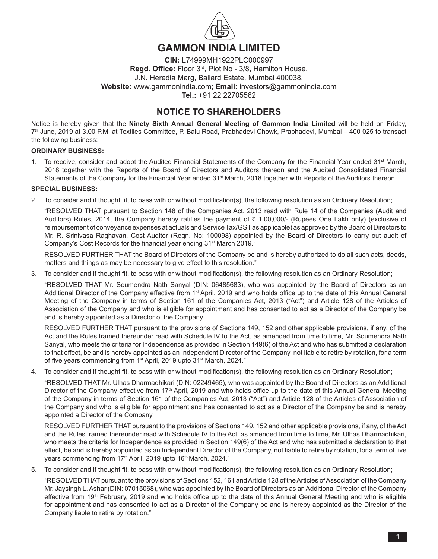

# **GAMMON INDIA LIMITED**

**CIN:** L74999MH1922PLC000997 **Regd. Office:** Floor 3rd, Plot No - 3/8, Hamilton House, J.N. Heredia Marg, Ballard Estate, Mumbai 400038. **Website:** www.gammonindia.com; **Email:** investors@gammonindia.com **Tel.:** +91 22 22705562

# **NOTICE TO SHAREHOLDERS**

Notice is hereby given that the **Ninety Sixth Annual General Meeting of Gammon India Limited** will be held on Friday, 7th June, 2019 at 3.00 P.M. at Textiles Committee, P. Balu Road, Prabhadevi Chowk, Prabhadevi, Mumbai – 400 025 to transact the following business:

## **ORDINARY BUSINESS:**

1. To receive, consider and adopt the Audited Financial Statements of the Company for the Financial Year ended  $31<sup>st</sup>$  March, 2018 together with the Reports of the Board of Directors and Auditors thereon and the Audited Consolidated Financial Statements of the Company for the Financial Year ended 31<sup>st</sup> March, 2018 together with Reports of the Auditors thereon.

## **SPECIAL BUSINESS:**

2. To consider and if thought fit, to pass with or without modification(s), the following resolution as an Ordinary Resolution;

 "RESOLVED THAT pursuant to Section 148 of the Companies Act, 2013 read with Rule 14 of the Companies (Audit and Auditors) Rules, 2014, the Company hereby ratifies the payment of  $\bar{\tau}$  1,00,000/- (Rupees One Lakh only) (exclusive of reimbursement of conveyance expenses at actuals and Service Tax/GST as applicable) as approved by the Board of Directors to Mr. R. Srinivasa Raghavan, Cost Auditor (Regn. No: 100098) appointed by the Board of Directors to carry out audit of Company's Cost Records for the financial year ending 31<sup>st</sup> March 2019."

 RESOLVED FURTHER THAT the Board of Directors of the Company be and is hereby authorized to do all such acts, deeds, matters and things as may be necessary to give effect to this resolution."

3. To consider and if thought fit, to pass with or without modification(s), the following resolution as an Ordinary Resolution;

 "RESOLVED THAT Mr. Soumendra Nath Sanyal (DIN: 06485683), who was appointed by the Board of Directors as an Additional Director of the Company effective from 1st April, 2019 and who holds office up to the date of this Annual General Meeting of the Company in terms of Section 161 of the Companies Act, 2013 ("Act") and Article 128 of the Articles of Association of the Company and who is eligible for appointment and has consented to act as a Director of the Company be and is hereby appointed as a Director of the Company.

 RESOLVED FURTHER THAT pursuant to the provisions of Sections 149, 152 and other applicable provisions, if any, of the Act and the Rules framed thereunder read with Schedule IV to the Act, as amended from time to time, Mr. Soumendra Nath Sanyal, who meets the criteria for Independence as provided in Section 149(6) of the Act and who has submitted a declaration to that effect, be and is hereby appointed as an Independent Director of the Company, not liable to retire by rotation, for a term of five years commencing from 1<sup>st</sup> April, 2019 upto 31<sup>st</sup> March, 2024."

4. To consider and if thought fit, to pass with or without modification(s), the following resolution as an Ordinary Resolution;

 "RESOLVED THAT Mr. Ulhas Dharmadhikari (DIN: 02249465), who was appointed by the Board of Directors as an Additional Director of the Company effective from 17<sup>th</sup> April, 2019 and who holds office up to the date of this Annual General Meeting of the Company in terms of Section 161 of the Companies Act, 2013 ("Act") and Article 128 of the Articles of Association of the Company and who is eligible for appointment and has consented to act as a Director of the Company be and is hereby appointed a Director of the Company.

RESOLVED FURTHER THAT pursuant to the provisions of Sections 149, 152 and other applicable provisions, if any, of the Act and the Rules framed thereunder read with Schedule IV to the Act, as amended from time to time, Mr. Ulhas Dharmadhikari, who meets the criteria for Independence as provided in Section 149(6) of the Act and who has submitted a declaration to that effect, be and is hereby appointed as an Independent Director of the Company, not liable to retire by rotation, for a term of five years commencing from 17<sup>th</sup> April, 2019 upto 16<sup>th</sup> March, 2024."

5. To consider and if thought fit, to pass with or without modification(s), the following resolution as an Ordinary Resolution;

"RESOLVED THAT pursuant to the provisions of Sections 152, 161 and Article 128 of the Articles of Association of the Company Mr. Jaysingh L.Ashar (DIN: 07015068), who was appointed by the Board of Directors as anAdditional Director of the Company effective from 19<sup>th</sup> February, 2019 and who holds office up to the date of this Annual General Meeting and who is eligible for appointment and has consented to act as a Director of the Company be and is hereby appointed as the Director of the Company liable to retire by rotation."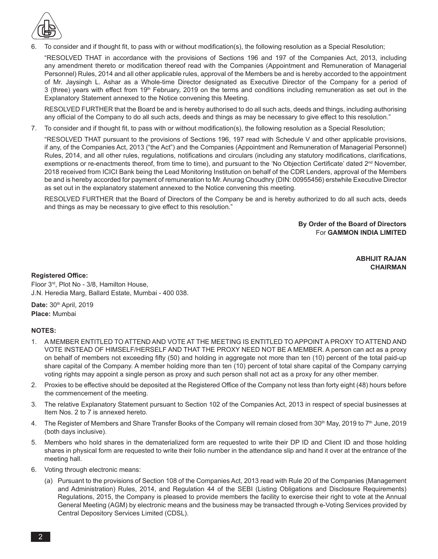

6. To consider and if thought fit, to pass with or without modification(s), the following resolution as a Special Resolution;

 "RESOLVED THAT in accordance with the provisions of Sections 196 and 197 of the Companies Act, 2013, including any amendment thereto or modification thereof read with the Companies (Appointment and Remuneration of Managerial Personnel) Rules, 2014 and all other applicable rules, approval of the Members be and is hereby accorded to the appointment of Mr. Jaysingh L. Ashar as a Whole-time Director designated as Executive Director of the Company for a period of 3 (three) years with effect from 19<sup>th</sup> February, 2019 on the terms and conditions including remuneration as set out in the Explanatory Statement annexed to the Notice convening this Meeting.

 RESOLVED FURTHER that the Board be and is hereby authorised to do all such acts, deeds and things, including authorising any official of the Company to do all such acts, deeds and things as may be necessary to give effect to this resolution."

7. To consider and if thought fit, to pass with or without modification(s), the following resolution as a Special Resolution;

 "RESOLVED THAT pursuant to the provisions of Sections 196, 197 read with Schedule V and other applicable provisions, if any, of the Companies Act, 2013 ("the Act") and the Companies (Appointment and Remuneration of Managerial Personnel) Rules, 2014, and all other rules, regulations, notifications and circulars (including any statutory modifications, clarifications, exemptions or re-enactments thereof, from time to time), and pursuant to the 'No Objection Certificate' dated  $2<sup>nd</sup>$  November, 2018 received from ICICI Bank being the Lead Monitoring Institution on behalf of the CDR Lenders, approval of the Members be and is hereby accorded for payment of remuneration to Mr.Anurag Choudhry (DIN: 00955456) erstwhile Executive Director as set out in the explanatory statement annexed to the Notice convening this meeting.

 RESOLVED FURTHER that the Board of Directors of the Company be and is hereby authorized to do all such acts, deeds and things as may be necessary to give effect to this resolution."

> **By Order of the Board of Directors** For **GAMMON INDIA LIMITED**

> > **ABHIJIT RAJAN CHAIRMAN**

### **Registered Office:**

Floor 3rd, Plot No - 3/8, Hamilton House, J.N. Heredia Marg, Ballard Estate, Mumbai - 400 038.

Date: 30<sup>th</sup> April, 2019 **Place:** Mumbai

## **NOTES:**

- 1. A MEMBER ENTITLED TO ATTEND AND VOTE AT THE MEETING IS ENTITLED TO APPOINT A PROXY TO ATTEND AND VOTE INSTEAD OF HIMSELF/HERSELF AND THAT THE PROXY NEED NOT BE A MEMBER. A person can act as a proxy on behalf of members not exceeding fifty (50) and holding in aggregate not more than ten (10) percent of the total paid-up share capital of the Company. A member holding more than ten (10) percent of total share capital of the Company carrying voting rights may appoint a single person as proxy and such person shall not act as a proxy for any other member.
- 2. Proxies to be effective should be deposited at the Registered Office of the Company not less than forty eight (48) hours before the commencement of the meeting.
- 3. The relative Explanatory Statement pursuant to Section 102 of the Companies Act, 2013 in respect of special businesses at Item Nos. 2 to 7 is annexed hereto.
- 4. The Register of Members and Share Transfer Books of the Company will remain closed from 30<sup>th</sup> May, 2019 to 7<sup>th</sup> June, 2019 (both days inclusive).
- 5. Members who hold shares in the dematerialized form are requested to write their DP ID and Client ID and those holding shares in physical form are requested to write their folio number in the attendance slip and hand it over at the entrance of the meeting hall.
- 6. Voting through electronic means:
	- (a) Pursuant to the provisions of Section 108 of the Companies Act, 2013 read with Rule 20 of the Companies (Management and Administration) Rules, 2014, and Regulation 44 of the SEBI (Listing Obligations and Disclosure Requirements) Regulations, 2015, the Company is pleased to provide members the facility to exercise their right to vote at the Annual General Meeting (AGM) by electronic means and the business may be transacted through e-Voting Services provided by Central Depository Services Limited (CDSL).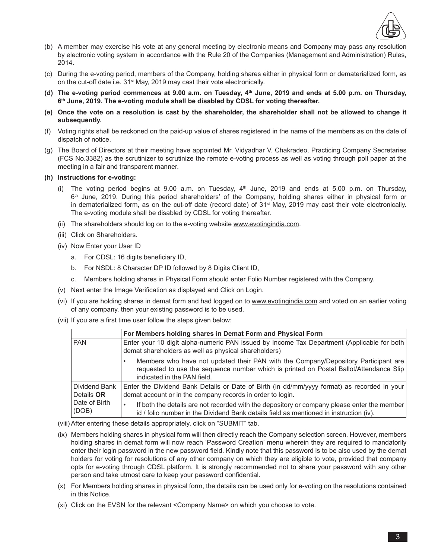

- (b) A member may exercise his vote at any general meeting by electronic means and Company may pass any resolution by electronic voting system in accordance with the Rule 20 of the Companies (Management and Administration) Rules, 2014.
- (c) During the e-voting period, members of the Company, holding shares either in physical form or dematerialized form, as on the cut-off date i.e. 31<sup>st</sup> May, 2019 may cast their vote electronically.
- **(d) The e-voting period commences at 9.00 a.m. on Tuesday, 4th June, 2019 and ends at 5.00 p.m. on Thursday, 6th June, 2019. The e-voting module shall be disabled by CDSL for voting thereafter.**
- **(e) Once the vote on a resolution is cast by the shareholder, the shareholder shall not be allowed to change it subsequently.**
- (f) Voting rights shall be reckoned on the paid-up value of shares registered in the name of the members as on the date of dispatch of notice.
- (g) The Board of Directors at their meeting have appointed Mr. Vidyadhar V. Chakradeo, Practicing Company Secretaries (FCS No.3382) as the scrutinizer to scrutinize the remote e-voting process as well as voting through poll paper at the meeting in a fair and transparent manner.
- **(h) Instructions for e-voting:**
	- (i) The voting period begins at 9.00 a.m. on Tuesday,  $4<sup>th</sup>$  June, 2019 and ends at 5.00 p.m. on Thursday,  $6<sup>th</sup>$  June, 2019. During this period shareholders' of the Company, holding shares either in physical form or in dematerialized form, as on the cut-off date (record date) of 31st May, 2019 may cast their vote electronically. The e-voting module shall be disabled by CDSL for voting thereafter.
	- (ii) The shareholders should log on to the e-voting website www.evotingindia.com.
	- (iii) Click on Shareholders.
	- (iv) Now Enter your User ID
		- a. For CDSL: 16 digits beneficiary ID,
		- b. For NSDL: 8 Character DP ID followed by 8 Digits Client ID,
		- c. Members holding shares in Physical Form should enter Folio Number registered with the Company.
	- (v) Next enter the Image Verification as displayed and Click on Login.
	- (vi) If you are holding shares in demat form and had logged on to www.evotingindia.com and voted on an earlier voting of any company, then your existing password is to be used.
	- (vii) If you are a first time user follow the steps given below:

|                                    | For Members holding shares in Demat Form and Physical Form                                                                                                                                                  |
|------------------------------------|-------------------------------------------------------------------------------------------------------------------------------------------------------------------------------------------------------------|
| <b>PAN</b>                         | Enter your 10 digit alpha-numeric PAN issued by Income Tax Department (Applicable for both<br>demat shareholders as well as physical shareholders)                                                          |
|                                    | Members who have not updated their PAN with the Company/Depository Participant are<br>requested to use the sequence number which is printed on Postal Ballot/Attendance Slip<br>indicated in the PAN field. |
| Dividend Bank<br>Details <b>OR</b> | Enter the Dividend Bank Details or Date of Birth (in dd/mm/yyyy format) as recorded in your<br>demat account or in the company records in order to login.                                                   |
| Date of Birth<br>(DOB)             | If both the details are not recorded with the depository or company please enter the member<br>$\bullet$<br>id / folio number in the Dividend Bank details field as mentioned in instruction (iv).          |

- (viii) After entering these details appropriately, click on "SUBMIT" tab.
- (ix) Members holding shares in physical form will then directly reach the Company selection screen. However, members holding shares in demat form will now reach 'Password Creation' menu wherein they are required to mandatorily enter their login password in the new password field. Kindly note that this password is to be also used by the demat holders for voting for resolutions of any other company on which they are eligible to vote, provided that company opts for e-voting through CDSL platform. It is strongly recommended not to share your password with any other person and take utmost care to keep your password confidential.
- (x) For Members holding shares in physical form, the details can be used only for e-voting on the resolutions contained in this Notice.
- (xi) Click on the EVSN for the relevant <Company Name> on which you choose to vote.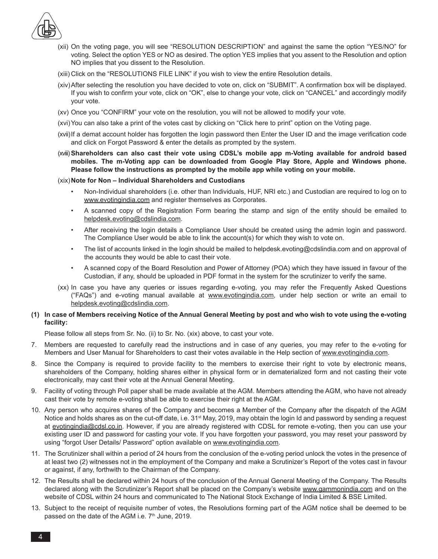

- (xii) On the voting page, you will see "RESOLUTION DESCRIPTION" and against the same the option "YES/NO" for voting. Select the option YES or NO as desired. The option YES implies that you assent to the Resolution and option NO implies that you dissent to the Resolution.
- (xiii) Click on the "RESOLUTIONS FILE LINK" if you wish to view the entire Resolution details.
- (xiv) After selecting the resolution you have decided to vote on, click on "SUBMIT". A confirmation box will be displayed. If you wish to confirm your vote, click on "OK", else to change your vote, click on "CANCEL" and accordingly modify your vote.
- (xv) Once you "CONFIRM" your vote on the resolution, you will not be allowed to modify your vote.
- (xvi) You can also take a print of the votes cast by clicking on "Click here to print" option on the Voting page.
- (xvii) If a demat account holder has forgotten the login password then Enter the User ID and the image verification code and click on Forgot Password & enter the details as prompted by the system.
- (xviii) Shareholders can also cast their vote using CDSL's mobile app m-Voting available for android based **mobiles. The m-Voting app can be downloaded from Google Play Store, Apple and Windows phone. Please follow the instructions as prompted by the mobile app while voting on your mobile.**

#### (xix) **Note for Non – Individual Shareholders and Custodians**

- Non-Individual shareholders (i.e. other than Individuals, HUF, NRI etc.) and Custodian are required to log on to www.evotingindia.com and register themselves as Corporates.
- • A scanned copy of the Registration Form bearing the stamp and sign of the entity should be emailed to helpdesk.evoting@cdslindia.com.
- After receiving the login details a Compliance User should be created using the admin login and password. The Compliance User would be able to link the account(s) for which they wish to vote on.
- The list of accounts linked in the login should be mailed to helpdesk.evoting@cdslindia.com and on approval of the accounts they would be able to cast their vote.
- A scanned copy of the Board Resolution and Power of Attorney (POA) which they have issued in favour of the Custodian, if any, should be uploaded in PDF format in the system for the scrutinizer to verify the same.
- (xx) In case you have any queries or issues regarding e-voting, you may refer the Frequently Asked Questions ("FAQs") and e-voting manual available at www.evotingindia.com, under help section or write an email to helpdesk.evoting@cdslindia.com.

### **(1) In case of Members receiving Notice of the Annual General Meeting by post and who wish to vote using the e-voting facility:**

 Please follow all steps from Sr. No. (ii) to Sr. No. (xix) above, to cast your vote.

- 7. Members are requested to carefully read the instructions and in case of any queries, you may refer to the e-voting for Members and User Manual for Shareholders to cast their votes available in the Help section of www.evotingindia.com.
- 8. Since the Company is required to provide facility to the members to exercise their right to vote by electronic means, shareholders of the Company, holding shares either in physical form or in dematerialized form and not casting their vote electronically, may cast their vote at the Annual General Meeting.
- 9. Facility of voting through Poll paper shall be made available at the AGM. Members attending the AGM, who have not already cast their vote by remote e-voting shall be able to exercise their right at the AGM.
- 10. Any person who acquires shares of the Company and becomes a Member of the Company after the dispatch of the AGM Notice and holds shares as on the cut-off date, i.e. 31<sup>st</sup> May, 2019, may obtain the login Id and password by sending a request at evotingindia@cdsl.co.in. However, if you are already registered with CDSL for remote e-voting, then you can use your existing user ID and password for casting your vote. If you have forgotten your password, you may reset your password by using "forgot User Details/ Password" option available on www.evotingindia.com.
- 11. The Scrutinizer shall within a period of 24 hours from the conclusion of the e-voting period unlock the votes in the presence of at least two (2) witnesses not in the employment of the Company and make a Scrutinizer's Report of the votes cast in favour or against, if any, forthwith to the Chairman of the Company.
- 12. The Results shall be declared within 24 hours of the conclusion of the Annual General Meeting of the Company. The Results declared along with the Scrutinizer's Report shall be placed on the Company's website www.gammonindia.com and on the website of CDSL within 24 hours and communicated to The National Stock Exchange of India Limited & BSE Limited.
- 13. Subject to the receipt of requisite number of votes, the Resolutions forming part of the AGM notice shall be deemed to be passed on the date of the AGM i.e. 7<sup>th</sup> June, 2019.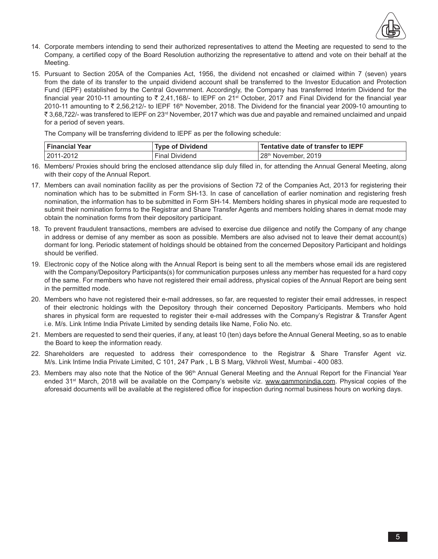

- 14. Corporate members intending to send their authorized representatives to attend the Meeting are requested to send to the Company, a certified copy of the Board Resolution authorizing the representative to attend and vote on their behalf at the Meeting.
- 15. Pursuant to Section 205A of the Companies Act, 1956, the dividend not encashed or claimed within 7 (seven) years from the date of its transfer to the unpaid dividend account shall be transferred to the Investor Education and Protection Fund (IEPF) established by the Central Government. Accordingly, the Company has transferred Interim Dividend for the financial year 2010-11 amounting to  $\bar{\tau}$  2,41,168/- to IEPF on 21<sup>st</sup> October, 2017 and Final Dividend for the financial year 2010-11 amounting to  $\overline{z}$  2.56.212/- to IEPF 16<sup>th</sup> November, 2018. The Dividend for the financial year 2009-10 amounting to ` 3,68,722/- was transfered to IEPF on 23rd November, 2017 which was due and payable and remained unclaimed and unpaid for a period of seven years.

 The Company will be transferring dividend to IEPF as per the following schedule:

| <b>Financial Year</b> | <b>Type of Dividend</b> | Tentative date of transfer to $\mathsf{IEPF}$ |
|-----------------------|-------------------------|-----------------------------------------------|
| 2011-2012             | <b>Final Dividend</b>   | 28th November, 2019                           |

- 16. Members/ Proxies should bring the enclosed attendance slip duly filled in, for attending the Annual General Meeting, along with their copy of the Annual Report.
- 17. Members can avail nomination facility as per the provisions of Section 72 of the Companies Act, 2013 for registering their nomination which has to be submitted in Form SH-13. In case of cancellation of earlier nomination and registering fresh nomination, the information has to be submitted in Form SH-14. Members holding shares in physical mode are requested to submit their nomination forms to the Registrar and Share Transfer Agents and members holding shares in demat mode may obtain the nomination forms from their depository participant.
- 18. To prevent fraudulent transactions, members are advised to exercise due diligence and notify the Company of any change in address or demise of any member as soon as possible. Members are also advised not to leave their demat account(s) dormant for long. Periodic statement of holdings should be obtained from the concerned Depository Participant and holdings should be verified.
- 19. Electronic copy of the Notice along with the Annual Report is being sent to all the members whose email ids are registered with the Company/Depository Participants(s) for communication purposes unless any member has requested for a hard copy of the same. For members who have not registered their email address, physical copies of the Annual Report are being sent in the permitted mode.
- 20. Members who have not registered their e-mail addresses, so far, are requested to register their email addresses, in respect of their electronic holdings with the Depository through their concerned Depository Participants. Members who hold shares in physical form are requested to register their e-mail addresses with the Company's Registrar & Transfer Agent i.e. M/s. Link Intime India Private Limited by sending details like Name, Folio No. etc.
- 21. Members are requested to send their queries, if any, at least 10 (ten) days before the Annual General Meeting, so as to enable the Board to keep the information ready.
- 22. Shareholders are requested to address their correspondence to the Registrar & Share Transfer Agent viz. M/s. Link Intime India Private Limited, C 101, 247 Park , L B S Marg, Vikhroli West, Mumbai - 400 083.
- 23. Members may also note that the Notice of the 96<sup>th</sup> Annual General Meeting and the Annual Report for the Financial Year ended 31<sup>st</sup> March, 2018 will be available on the Company's website viz. www.gammonindia.com. Physical copies of the aforesaid documents will be available at the registered office for inspection during normal business hours on working days.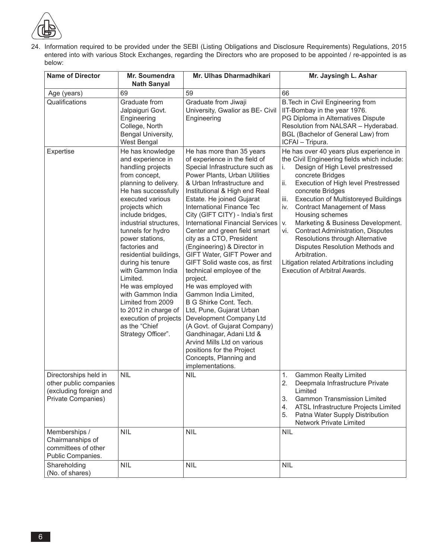

24. Information required to be provided under the SEBI (Listing Obligations and Disclosure Requirements) Regulations, 2015 entered into with various Stock Exchanges, regarding the Directors who are proposed to be appointed / re-appointed is as below:

| <b>Name of Director</b>                                                                         | Mr. Soumendra<br><b>Nath Sanyal</b>                                                                                                                                                                                                                                                                                                                                                                                                                                                       | Mr. Ulhas Dharmadhikari                                                                                                                                                                                                                                                                                                                                                                                                                                                                                                                                                                                                                                                                                                                                                                                              | Mr. Jaysingh L. Ashar                                                                                                                                                                                                                                                                                                                                                                                                                                                                                                                                                |
|-------------------------------------------------------------------------------------------------|-------------------------------------------------------------------------------------------------------------------------------------------------------------------------------------------------------------------------------------------------------------------------------------------------------------------------------------------------------------------------------------------------------------------------------------------------------------------------------------------|----------------------------------------------------------------------------------------------------------------------------------------------------------------------------------------------------------------------------------------------------------------------------------------------------------------------------------------------------------------------------------------------------------------------------------------------------------------------------------------------------------------------------------------------------------------------------------------------------------------------------------------------------------------------------------------------------------------------------------------------------------------------------------------------------------------------|----------------------------------------------------------------------------------------------------------------------------------------------------------------------------------------------------------------------------------------------------------------------------------------------------------------------------------------------------------------------------------------------------------------------------------------------------------------------------------------------------------------------------------------------------------------------|
| Age (years)                                                                                     | 69                                                                                                                                                                                                                                                                                                                                                                                                                                                                                        | 59                                                                                                                                                                                                                                                                                                                                                                                                                                                                                                                                                                                                                                                                                                                                                                                                                   | 66                                                                                                                                                                                                                                                                                                                                                                                                                                                                                                                                                                   |
| Qualifications<br>Expertise                                                                     | Graduate from<br>Jalpaiguri Govt.<br>Engineering<br>College, North<br>Bengal University,<br>West Bengal<br>He has knowledge                                                                                                                                                                                                                                                                                                                                                               | Graduate from Jiwaji<br>University, Gwalior as BE- Civil<br>Engineering<br>He has more than 35 years                                                                                                                                                                                                                                                                                                                                                                                                                                                                                                                                                                                                                                                                                                                 | B. Tech in Civil Engineering from<br>IIT-Bombay in the year 1976.<br>PG Diploma in Alternatives Dispute<br>Resolution from NALSAR - Hyderabad.<br>BGL (Bachelor of General Law) from<br>ICFAI - Tripura.<br>He has over 40 years plus experience in                                                                                                                                                                                                                                                                                                                  |
|                                                                                                 | and experience in<br>handling projects<br>from concept,<br>planning to delivery.<br>He has successfully<br>executed various<br>projects which<br>include bridges,<br>industrial structures,<br>tunnels for hydro<br>power stations,<br>factories and<br>residential buildings,<br>during his tenure<br>with Gammon India<br>Limited.<br>He was employed<br>with Gammon India<br>Limited from 2009<br>to 2012 in charge of<br>execution of projects<br>as the "Chief<br>Strategy Officer". | of experience in the field of<br>Special Infrastructure such as<br>Power Plants, Urban Utilities<br>& Urban Infrastructure and<br>Institutional & High end Real<br>Estate. He joined Gujarat<br>International Finance Tec<br>City (GIFT CITY) - India's first<br><b>International Financial Services</b><br>Center and green field smart<br>city as a CTO, President<br>(Engineering) & Director in<br>GIFT Water, GIFT Power and<br>GIFT Solid waste cos, as first<br>technical employee of the<br>project.<br>He was employed with<br>Gammon India Limited,<br>B G Shirke Cont. Tech.<br>Ltd, Pune, Gujarat Urban<br>Development Company Ltd<br>(A Govt. of Gujarat Company)<br>Gandhinagar, Adani Ltd &<br>Arvind Mills Ltd on various<br>positions for the Project<br>Concepts, Planning and<br>implementations. | the Civil Engineering fields which include:<br>Design of High Level prestressed<br>i.<br>concrete Bridges<br>ii.<br>Execution of High level Prestressed<br>concrete Bridges<br><b>Execution of Multistoreyed Buildings</b><br>iii.<br>iv.<br><b>Contract Management of Mass</b><br>Housing schemes<br>Marketing & Business Development.<br>V.<br><b>Contract Administration, Disputes</b><br>vi.<br>Resolutions through Alternative<br>Disputes Resolution Methods and<br>Arbitration.<br>Litigation related Arbitrations including<br>Execution of Arbitral Awards. |
| Directorships held in<br>other public companies<br>(excluding foreign and<br>Private Companies) | <b>NIL</b>                                                                                                                                                                                                                                                                                                                                                                                                                                                                                | <b>NIL</b>                                                                                                                                                                                                                                                                                                                                                                                                                                                                                                                                                                                                                                                                                                                                                                                                           | 1.<br><b>Gammon Realty Limited</b><br>2.<br>Deepmala Infrastructure Private<br>Limited<br>3.<br><b>Gammon Transmission Limited</b><br>ATSL Infrastructure Projects Limited<br>4.<br>Patna Water Supply Distribution<br>5.<br>Network Private Limited                                                                                                                                                                                                                                                                                                                 |
| Memberships /<br>Chairmanships of<br>committees of other<br>Public Companies.                   | <b>NIL</b>                                                                                                                                                                                                                                                                                                                                                                                                                                                                                | <b>NIL</b>                                                                                                                                                                                                                                                                                                                                                                                                                                                                                                                                                                                                                                                                                                                                                                                                           | <b>NIL</b>                                                                                                                                                                                                                                                                                                                                                                                                                                                                                                                                                           |
| Shareholding<br>(No. of shares)                                                                 | <b>NIL</b>                                                                                                                                                                                                                                                                                                                                                                                                                                                                                | <b>NIL</b>                                                                                                                                                                                                                                                                                                                                                                                                                                                                                                                                                                                                                                                                                                                                                                                                           | <b>NIL</b>                                                                                                                                                                                                                                                                                                                                                                                                                                                                                                                                                           |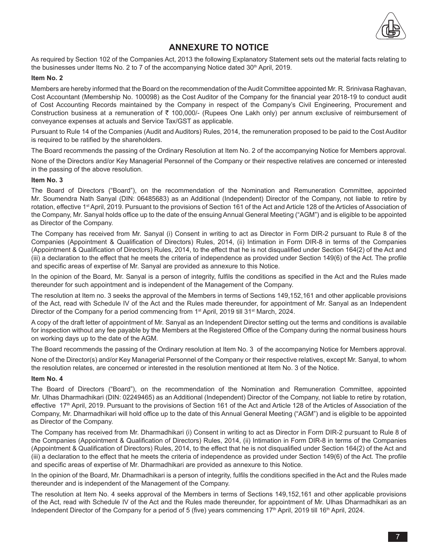

# **ANNEXURE TO NOTICE**

As required by Section 102 of the Companies Act, 2013 the following Explanatory Statement sets out the material facts relating to the businesses under Items No. 2 to 7 of the accompanying Notice dated 30<sup>th</sup> April, 2019.

### **Item No. 2**

Members are hereby informed that the Board on the recommendation of the Audit Committee appointed Mr. R. Srinivasa Raghavan, Cost Accountant (Membership No. 100098) as the Cost Auditor of the Company for the financial year 2018-19 to conduct audit of Cost Accounting Records maintained by the Company in respect of the Company's Civil Engineering, Procurement and Construction business at a remuneration of ₹ 100,000/- (Rupees One Lakh only) per annum exclusive of reimbursement of conveyance expenses at actuals and Service Tax/GST as applicable.

Pursuant to Rule 14 of the Companies (Audit and Auditors) Rules, 2014, the remuneration proposed to be paid to the Cost Auditor is required to be ratified by the shareholders.

The Board recommends the passing of the Ordinary Resolution at Item No. 2 of the accompanying Notice for Members approval.

None of the Directors and/or Key Managerial Personnel of the Company or their respective relatives are concerned or interested in the passing of the above resolution.

### **Item No. 3**

The Board of Directors ("Board"), on the recommendation of the Nomination and Remuneration Committee, appointed Mr. Soumendra Nath Sanyal (DIN: 06485683) as an Additional (Independent) Director of the Company, not liable to retire by rotation, effective 1<sup>st</sup> April, 2019. Pursuant to the provisions of Section 161 of the Act and Article 128 of the Articles of Association of the Company, Mr. Sanyal holds office up to the date of the ensuing Annual General Meeting ("AGM") and is eligible to be appointed as Director of the Company.

The Company has received from Mr. Sanyal (i) Consent in writing to act as Director in Form DIR-2 pursuant to Rule 8 of the Companies (Appointment & Qualification of Directors) Rules, 2014, (ii) Intimation in Form DIR-8 in terms of the Companies (Appointment & Qualification of Directors) Rules, 2014, to the effect that he is not disqualified under Section 164(2) of the Act and (iii) a declaration to the effect that he meets the criteria of independence as provided under Section 149(6) of the Act. The profile and specific areas of expertise of Mr. Sanyal are provided as annexure to this Notice.

In the opinion of the Board, Mr. Sanyal is a person of integrity, fulfils the conditions as specified in the Act and the Rules made thereunder for such appointment and is independent of the Management of the Company.

The resolution at Item no. 3 seeks the approval of the Members in terms of Sections 149,152,161 and other applicable provisions of the Act, read with Schedule IV of the Act and the Rules made thereunder, for appointment of Mr. Sanyal as an Independent Director of the Company for a period commencing from 1<sup>st</sup> April, 2019 till 31<sup>st</sup> March, 2024.

A copy of the draft letter of appointment of Mr. Sanyal as an Independent Director setting out the terms and conditions is available for inspection without any fee payable by the Members at the Registered Office of the Company during the normal business hours on working days up to the date of the AGM.

The Board recommends the passing of the Ordinary resolution at Item No. 3 of the accompanying Notice for Members approval.

None of the Director(s) and/or Key Managerial Personnel of the Company or their respective relatives, except Mr. Sanyal, to whom the resolution relates, are concerned or interested in the resolution mentioned at Item No. 3 of the Notice.

#### **Item No. 4**

The Board of Directors ("Board"), on the recommendation of the Nomination and Remuneration Committee, appointed Mr. Ulhas Dharmadhikari (DIN: 02249465) as an Additional (Independent) Director of the Company, not liable to retire by rotation, effective 17<sup>th</sup> April, 2019. Pursuant to the provisions of Section 161 of the Act and Article 128 of the Articles of Association of the Company, Mr. Dharmadhikari will hold office up to the date of this Annual General Meeting ("AGM") and is eligible to be appointed as Director of the Company.

The Company has received from Mr. Dharmadhikari (i) Consent in writing to act as Director in Form DIR-2 pursuant to Rule 8 of the Companies (Appointment & Qualification of Directors) Rules, 2014, (ii) Intimation in Form DIR-8 in terms of the Companies (Appointment & Qualification of Directors) Rules, 2014, to the effect that he is not disqualified under Section 164(2) of the Act and (iii) a declaration to the effect that he meets the criteria of independence as provided under Section 149(6) of the Act. The profile and specific areas of expertise of Mr. Dharmadhikari are provided as annexure to this Notice.

In the opinion of the Board, Mr. Dharmadhikari is a person of integrity, fulfils the conditions specified in the Act and the Rules made thereunder and is independent of the Management of the Company.

The resolution at Item No. 4 seeks approval of the Members in terms of Sections 149,152,161 and other applicable provisions of the Act, read with Schedule IV of the Act and the Rules made thereunder, for appointment of Mr. Ulhas Dharmadhikari as an Independent Director of the Company for a period of 5 (five) years commencing  $17<sup>th</sup>$  April, 2019 till 16<sup>th</sup> April, 2024.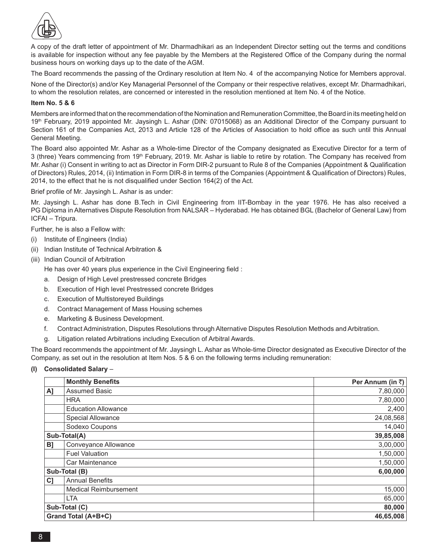

A copy of the draft letter of appointment of Mr. Dharmadhikari as an Independent Director setting out the terms and conditions is available for inspection without any fee payable by the Members at the Registered Office of the Company during the normal business hours on working days up to the date of the AGM.

The Board recommends the passing of the Ordinary resolution at Item No. 4 of the accompanying Notice for Members approval.

None of the Director(s) and/or Key Managerial Personnel of the Company or their respective relatives, except Mr. Dharmadhikari, to whom the resolution relates, are concerned or interested in the resolution mentioned at Item No. 4 of the Notice.

## **Item No. 5 & 6**

Members are informed that on the recommendation of the Nomination and Remuneration Committee, the Board in its meeting held on 19th February, 2019 appointed Mr. Jaysingh L. Ashar (DIN: 07015068) as an Additional Director of the Company pursuant to Section 161 of the Companies Act, 2013 and Article 128 of the Articles of Association to hold office as such until this Annual General Meeting.

The Board also appointed Mr. Ashar as a Whole-time Director of the Company designated as Executive Director for a term of 3 (three) Years commencing from 19th February, 2019. Mr. Ashar is liable to retire by rotation. The Company has received from Mr. Ashar (i) Consent in writing to act as Director in Form DIR-2 pursuant to Rule 8 of the Companies (Appointment & Qualification of Directors) Rules, 2014, (ii) Intimation in Form DIR-8 in terms of the Companies (Appointment & Qualification of Directors) Rules, 2014, to the effect that he is not disqualified under Section 164(2) of the Act.

Brief profile of Mr. Jaysingh L. Ashar is as under:

Mr. Jaysingh L. Ashar has done B.Tech in Civil Engineering from IIT-Bombay in the year 1976. He has also received a PG Diploma in Alternatives Dispute Resolution from NALSAR – Hyderabad. He has obtained BGL (Bachelor of General Law) from ICFAI – Tripura.

Further, he is also a Fellow with:

- (i) Institute of Engineers (India)
- (ii) Indian Institute of Technical Arbitration &
- (iii) Indian Council of Arbitration

 He has over 40 years plus experience in the Civil Engineering field :

- a. Design of High Level prestressed concrete Bridges
- b. Execution of High level Prestressed concrete Bridges
- c. Execution of Multistoreyed Buildings
- d. Contract Management of Mass Housing schemes
- e. Marketing & Business Development.
- f. Contract Administration, Disputes Resolutions through Alternative Disputes Resolution Methods and Arbitration.
- g. Litigation related Arbitrations including Execution of Arbitral Awards.

The Board recommends the appointment of Mr. Jaysingh L. Ashar as Whole-time Director designated as Executive Director of the Company, as set out in the resolution at Item Nos. 5 & 6 on the following terms including remuneration:

## **(I) Consolidated Salary** –

|    | <b>Monthly Benefits</b>      | Per Annum (in ₹) |
|----|------------------------------|------------------|
| A] | <b>Assumed Basic</b>         | 7,80,000         |
|    | <b>HRA</b>                   | 7,80,000         |
|    | <b>Education Allowance</b>   | 2,400            |
|    | <b>Special Allowance</b>     | 24,08,568        |
|    | Sodexo Coupons               | 14,040           |
|    | Sub-Total(A)                 | 39,85,008        |
| B] | Conveyance Allowance         | 3,00,000         |
|    | <b>Fuel Valuation</b>        | 1,50,000         |
|    | Car Maintenance              | 1,50,000         |
|    | Sub-Total (B)                | 6,00,000         |
| C] | <b>Annual Benefits</b>       |                  |
|    | <b>Medical Reimbursement</b> | 15,000           |
|    | <b>LTA</b>                   | 65,000           |
|    | Sub-Total (C)                | 80,000           |
|    | Grand Total (A+B+C)          | 46,65,008        |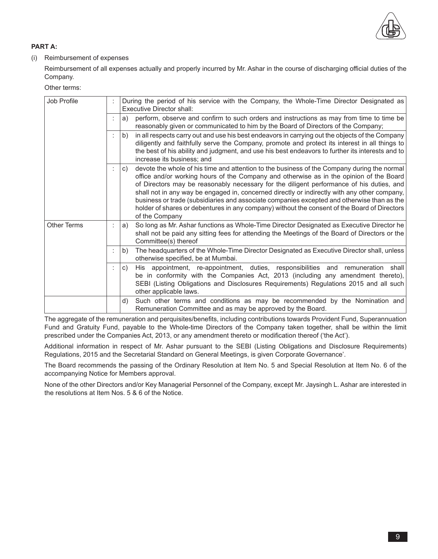

## **PART A:**

## (i) Reimbursement of expenses

 Reimbursement of all expenses actually and properly incurred by Mr. Ashar in the course of discharging official duties of the Company.

 Other terms:

| Job Profile<br>During the period of his service with the Company, the Whole-Time Director Designated as<br><b>Executive Director shall:</b> |  |                                                                                                                                                                                                                                                                                                                                                                                                                                                                                                                                                                                                          |
|---------------------------------------------------------------------------------------------------------------------------------------------|--|----------------------------------------------------------------------------------------------------------------------------------------------------------------------------------------------------------------------------------------------------------------------------------------------------------------------------------------------------------------------------------------------------------------------------------------------------------------------------------------------------------------------------------------------------------------------------------------------------------|
|                                                                                                                                             |  | perform, observe and confirm to such orders and instructions as may from time to time be<br>a)<br>reasonably given or communicated to him by the Board of Directors of the Company;                                                                                                                                                                                                                                                                                                                                                                                                                      |
|                                                                                                                                             |  | in all respects carry out and use his best endeavors in carrying out the objects of the Company<br>b)<br>diligently and faithfully serve the Company, promote and protect its interest in all things to<br>the best of his ability and judgment, and use his best endeavors to further its interests and to<br>increase its business; and                                                                                                                                                                                                                                                                |
|                                                                                                                                             |  | devote the whole of his time and attention to the business of the Company during the normal<br>C)<br>office and/or working hours of the Company and otherwise as in the opinion of the Board<br>of Directors may be reasonably necessary for the diligent performance of his duties, and<br>shall not in any way be engaged in, concerned directly or indirectly with any other company,<br>business or trade (subsidiaries and associate companies excepted and otherwise than as the<br>holder of shares or debentures in any company) without the consent of the Board of Directors<br>of the Company |
| <b>Other Terms</b>                                                                                                                          |  | So long as Mr. Ashar functions as Whole-Time Director Designated as Executive Director he<br>a)<br>shall not be paid any sitting fees for attending the Meetings of the Board of Directors or the<br>Committee(s) thereof                                                                                                                                                                                                                                                                                                                                                                                |
|                                                                                                                                             |  | The headquarters of the Whole-Time Director Designated as Executive Director shall, unless<br>b)<br>otherwise specified, be at Mumbai.                                                                                                                                                                                                                                                                                                                                                                                                                                                                   |
|                                                                                                                                             |  | His appointment, re-appointment, duties, responsibilities and remuneration shall<br>C)<br>be in conformity with the Companies Act, 2013 (including any amendment thereto),<br>SEBI (Listing Obligations and Disclosures Requirements) Regulations 2015 and all such<br>other applicable laws.                                                                                                                                                                                                                                                                                                            |
|                                                                                                                                             |  | Such other terms and conditions as may be recommended by the Nomination and<br>d)<br>Remuneration Committee and as may be approved by the Board.                                                                                                                                                                                                                                                                                                                                                                                                                                                         |

 The aggregate of the remuneration and perquisites/benefits, including contributions towards Provident Fund, Superannuation Fund and Gratuity Fund, payable to the Whole-time Directors of the Company taken together, shall be within the limit prescribed under the Companies Act, 2013, or any amendment thereto or modification thereof ('the Act').

 Additional information in respect of Mr. Ashar pursuant to the SEBI (Listing Obligations and Disclosure Requirements) Regulations, 2015 and the Secretarial Standard on General Meetings, is given Corporate Governance'.

 The Board recommends the passing of the Ordinary Resolution at Item No. 5 and Special Resolution at Item No. 6 of the accompanying Notice for Members approval.

 None of the other Directors and/or Key Managerial Personnel of the Company, except Mr. Jaysingh L. Ashar are interested in the resolutions at Item Nos. 5 & 6 of the Notice.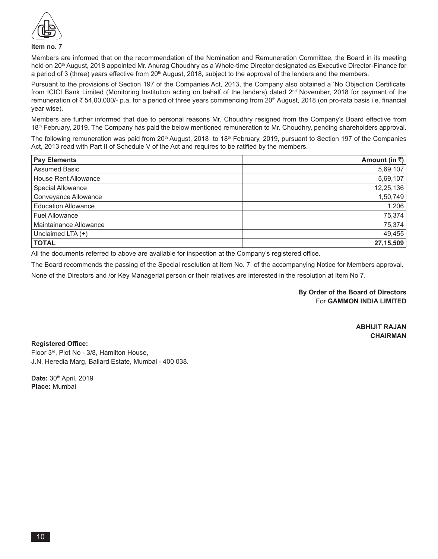

#### **Item no. 7**

Members are informed that on the recommendation of the Nomination and Remuneration Committee, the Board in its meeting held on 20<sup>th</sup> August, 2018 appointed Mr. Anurag Choudhry as a Whole-time Director designated as Executive Director-Finance for a period of 3 (three) years effective from 20<sup>th</sup> August, 2018, subject to the approval of the lenders and the members.

Pursuant to the provisions of Section 197 of the Companies Act, 2013, the Company also obtained a 'No Objection Certificate' from ICICI Bank Limited (Monitoring Institution acting on behalf of the lenders) dated  $2^{nd}$  November, 2018 for payment of the remuneration of  $\bar{\tau}$  54,00,000/- p.a. for a period of three years commencing from 20<sup>th</sup> August, 2018 (on pro-rata basis i.e. financial year wise).

Members are further informed that due to personal reasons Mr. Choudhry resigned from the Company's Board effective from 18th February, 2019. The Company has paid the below mentioned remuneration to Mr. Choudhry, pending shareholders approval.

The following remuneration was paid from  $20<sup>th</sup>$  August, 2018 to 18<sup>th</sup> February, 2019, pursuant to Section 197 of the Companies Act, 2013 read with Part II of Schedule V of the Act and requires to be ratified by the members.

| <b>Pay Elements</b>        | Amount (in ₹) |
|----------------------------|---------------|
| <b>Assumed Basic</b>       | 5,69,107      |
| House Rent Allowance       | 5,69,107      |
| <b>Special Allowance</b>   | 12,25,136     |
| Conveyance Allowance       | 1,50,749      |
| <b>Education Allowance</b> | 1,206         |
| <b>Fuel Allowance</b>      | 75,374        |
| Maintainance Allowance     | 75,374        |
| Unclaimed LTA (+)          | 49,455        |
| <b>TOTAL</b>               | 27,15,509     |

All the documents referred to above are available for inspection at the Company's registered office.

The Board recommends the passing of the Special resolution at Item No. 7 of the accompanying Notice for Members approval. None of the Directors and /or Key Managerial person or their relatives are interested in the resolution at Item No 7.

> **By Order of the Board of Directors** For **GAMMON INDIA LIMITED**

> > **ABHIJIT RAJAN CHAIRMAN**

**Registered Office:** Floor 3rd, Plot No - 3/8, Hamilton House, J.N. Heredia Marg, Ballard Estate, Mumbai - 400 038.

Date: 30<sup>th</sup> April, 2019 **Place:** Mumbai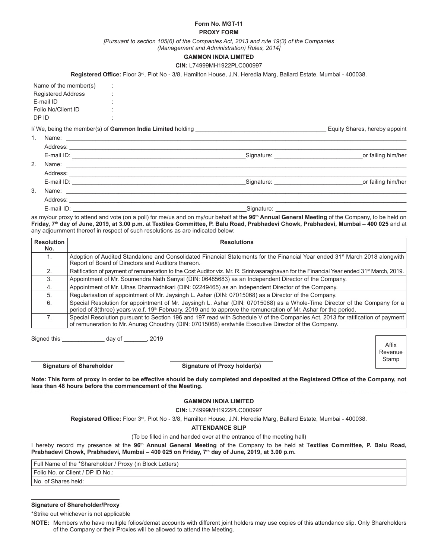#### **Form No. MGT-11 PROXY FORM**

*[Pursuant to section 105(6) of the Companies Act, 2013 and rule 19(3) of the Companies* 

*(Management and Administration) Rules, 2014]*

#### **GAMMON INDIA LIMITED**

#### **CIN:** L74999MH1922PLC000997

**Registered Office:** Floor 3rd, Plot No - 3/8, Hamilton House, J.N. Heredia Marg, Ballard Estate, Mumbai - 400038.

| Name of the member(s)     | İ.     |
|---------------------------|--------|
| <b>Registered Address</b> | ٠<br>٠ |
| F-mail ID                 | ۰<br>٠ |
| Folio No/Client ID        | ٠<br>٠ |
| חו פח                     | ٠<br>٠ |

I/ We, being the member(s) of **Gammon India Limited** holding **Example 10** and the state of the state of the state of the state of the state of the state of the state of the state of the state of the state of the state of t

|    | Address:                                                                                                                                                                                                                       |                                         |                                                                                                                 |
|----|--------------------------------------------------------------------------------------------------------------------------------------------------------------------------------------------------------------------------------|-----------------------------------------|-----------------------------------------------------------------------------------------------------------------|
|    | E-mail ID:                                                                                                                                                                                                                     | Signature: National Assembly Signature: | or failing him/her                                                                                              |
| 2. |                                                                                                                                                                                                                                |                                         |                                                                                                                 |
|    | Address: Andreas Address:                                                                                                                                                                                                      |                                         |                                                                                                                 |
|    |                                                                                                                                                                                                                                | Signature: National Assembly Signature: | or failing him/her                                                                                              |
| 3. | Name: ________________                                                                                                                                                                                                         |                                         |                                                                                                                 |
|    | Address: Analysis and the set of the set of the set of the set of the set of the set of the set of the set of the set of the set of the set of the set of the set of the set of the set of the set of the set of the set of th |                                         |                                                                                                                 |
|    | E-mail ID:<br><u> 1980 - Jan Samuel Barbara, martin a</u>                                                                                                                                                                      | Signature:                              | the contract of the contract of the contract of the contract of the contract of the contract of the contract of |

as my/our proxy to attend and vote (on a poll) for me/us and on my/our behalf at the **96th Annual General Meeting** of the Company, to be held on **Friday, 7th day of June, 2019, at 3.00 p.m.** at **Textiles Committee, P. Balu Road, Prabhadevi Chowk, Prabhadevi, Mumbai – 400 025** and at any adjournment thereof in respect of such resolutions as are indicated below:

| <b>Resolution</b><br>No. | <b>Resolutions</b>                                                                                                                                                                                                                                        |
|--------------------------|-----------------------------------------------------------------------------------------------------------------------------------------------------------------------------------------------------------------------------------------------------------|
|                          | Adoption of Audited Standalone and Consolidated Financial Statements for the Financial Year ended 31 <sup>st</sup> March 2018 alongwith<br>Report of Board of Directors and Auditors thereon.                                                             |
|                          | Ratification of payment of remuneration to the Cost Auditor viz. Mr. R. Srinivasaraghavan for the Financial Year ended 31 <sup>st</sup> March, 2019.                                                                                                      |
| 3.                       | Appointment of Mr. Soumendra Nath Sanyal (DIN: 06485683) as an Independent Director of the Company.                                                                                                                                                       |
| 4.                       | Appointment of Mr. Ulhas Dharmadhikari (DIN: 02249465) as an Independent Director of the Company.                                                                                                                                                         |
| 5.                       | Regularisation of appointment of Mr. Jaysingh L. Ashar (DIN: 07015068) as a Director of the Company.                                                                                                                                                      |
| 6.                       | Special Resolution for appointment of Mr. Jaysingh L. Ashar (DIN: 07015068) as a Whole-Time Director of the Company for a<br>period of 3(three) years w.e.f. 19 <sup>th</sup> February, 2019 and to approve the remuneration of Mr. Ashar for the period. |
|                          | Special Resolution pursuant to Section 196 and 197 read with Schedule V of the Companies Act, 2013 for ratification of payment<br>of remuneration to Mr. Anurag Choudhry (DIN: 07015068) erstwhile Executive Director of the Company.                     |

Signed this \_\_\_\_\_\_\_\_\_\_\_\_\_ day of \_\_\_\_\_\_\_, 2019

**Signature of Shareholder Signature of Proxy holder(s)**

Affix Revenue **Stamp** 

**Note: This form of proxy in order to be effective should be duly completed and deposited at the Registered Office of the Company, not less than 48 hours before the commencement of the Meeting.** 

#### **GAMMON INDIA LIMITED**

**CIN:** L74999MH1922PLC000997

**Registered Office:** Floor 3rd, Plot No - 3/8, Hamilton House, J.N. Heredia Marg, Ballard Estate, Mumbai - 400038.

#### **ATTENDANCE SLIP**

(To be filled in and handed over at the entrance of the meeting hall)

I hereby record my presence at the **96th Annual General Meeting** of the Company to be held at T**extiles Committee, P. Balu Road, Prabhadevi Chowk, Prabhadevi, Mumbai – 400 025 on Friday, 7th day of June, 2019, at 3.00 p.m.**

| Full Name of the *Shareholder / Proxy (in Block Letters) |  |
|----------------------------------------------------------|--|
| Folio No. or Client / DP ID No.:                         |  |
| No. of Shares held:                                      |  |

#### **Signature of Shareholder/Proxy**

\*Strike out whichever is not applicable

**NOTE:** Members who have multiple folios/demat accounts with different joint holders may use copies of this attendance slip. Only Shareholders of the Company or their Proxies will be allowed to attend the Meeting.